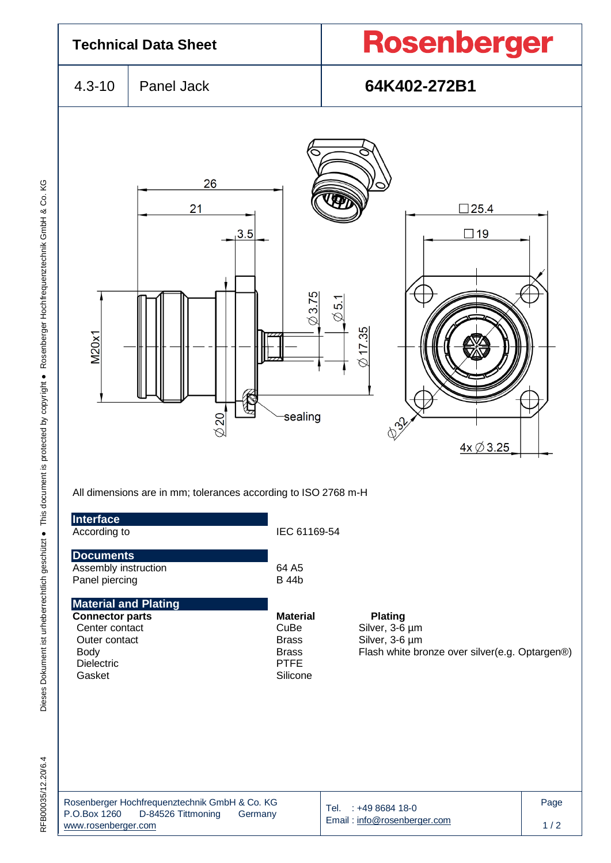